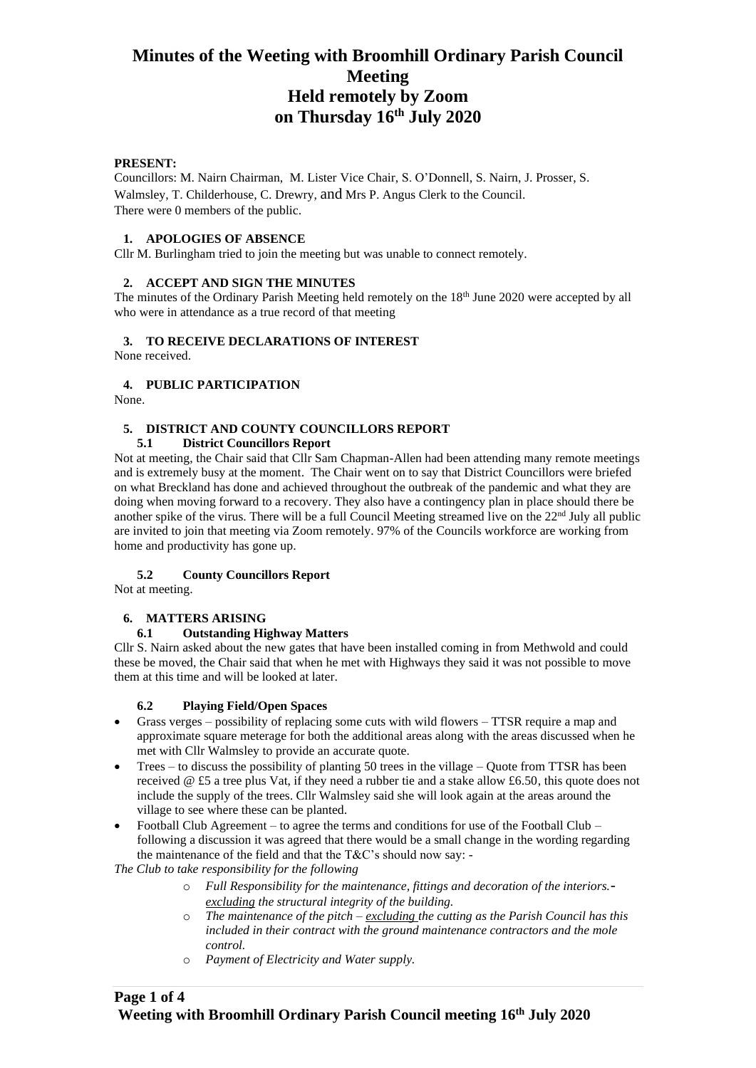## **PRESENT:**

Councillors: M. Nairn Chairman, M. Lister Vice Chair, S. O'Donnell, S. Nairn, J. Prosser, S. Walmsley, T. Childerhouse, C. Drewry, and Mrs P. Angus Clerk to the Council. There were 0 members of the public.

## **1. APOLOGIES OF ABSENCE**

Cllr M. Burlingham tried to join the meeting but was unable to connect remotely.

# **2. ACCEPT AND SIGN THE MINUTES**

The minutes of the Ordinary Parish Meeting held remotely on the 18<sup>th</sup> June 2020 were accepted by all who were in attendance as a true record of that meeting

## **3. TO RECEIVE DECLARATIONS OF INTEREST**

None received.

## **4. PUBLIC PARTICIPATION**

None.

# **5. DISTRICT AND COUNTY COUNCILLORS REPORT**

### **5.1 District Councillors Report**

Not at meeting, the Chair said that Cllr Sam Chapman-Allen had been attending many remote meetings and is extremely busy at the moment. The Chair went on to say that District Councillors were briefed on what Breckland has done and achieved throughout the outbreak of the pandemic and what they are doing when moving forward to a recovery. They also have a contingency plan in place should there be another spike of the virus. There will be a full Council Meeting streamed live on the  $22<sup>nd</sup>$  July all public are invited to join that meeting via Zoom remotely. 97% of the Councils workforce are working from home and productivity has gone up.

# **5.2 County Councillors Report**

Not at meeting.

# **6. MATTERS ARISING**

### **6.1 Outstanding Highway Matters**

Cllr S. Nairn asked about the new gates that have been installed coming in from Methwold and could these be moved, the Chair said that when he met with Highways they said it was not possible to move them at this time and will be looked at later.

# **6.2 Playing Field/Open Spaces**

- Grass verges possibility of replacing some cuts with wild flowers TTSR require a map and approximate square meterage for both the additional areas along with the areas discussed when he met with Cllr Walmsley to provide an accurate quote.
- Trees to discuss the possibility of planting 50 trees in the village Quote from TTSR has been received @ £5 a tree plus Vat, if they need a rubber tie and a stake allow £6.50, this quote does not include the supply of the trees. Cllr Walmsley said she will look again at the areas around the village to see where these can be planted.
- Football Club Agreement to agree the terms and conditions for use of the Football Club following a discussion it was agreed that there would be a small change in the wording regarding the maintenance of the field and that the T&C's should now say: -

*The Club to take responsibility for the following*

- o *Full Responsibility for the maintenance, fittings and decoration of the interiors. excluding the structural integrity of the building.*
- o *The maintenance of the pitch – excluding the cutting as the Parish Council has this included in their contract with the ground maintenance contractors and the mole control.*
- o *Payment of Electricity and Water supply.*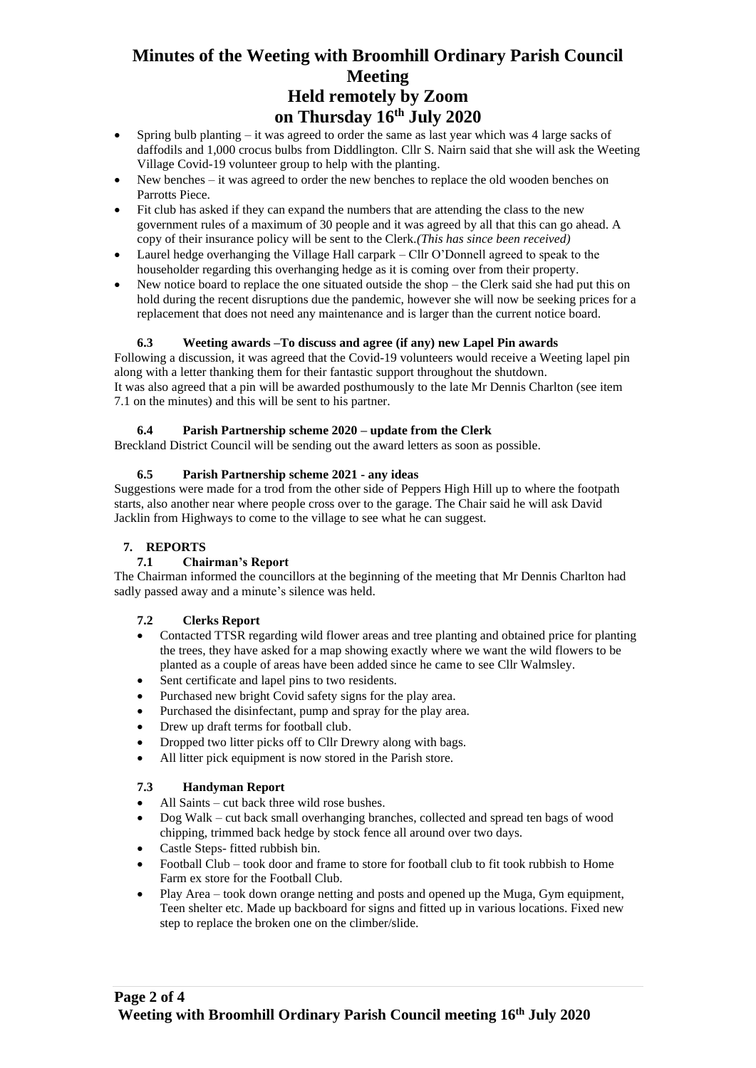- Spring bulb planting  $-$  it was agreed to order the same as last year which was 4 large sacks of daffodils and 1,000 crocus bulbs from Diddlington. Cllr S. Nairn said that she will ask the Weeting Village Covid-19 volunteer group to help with the planting.
- New benches it was agreed to order the new benches to replace the old wooden benches on Parrotts Piece.
- Fit club has asked if they can expand the numbers that are attending the class to the new government rules of a maximum of 30 people and it was agreed by all that this can go ahead. A copy of their insurance policy will be sent to the Clerk*.(This has since been received)*
- Laurel hedge overhanging the Village Hall carpark Cllr O'Donnell agreed to speak to the householder regarding this overhanging hedge as it is coming over from their property.
- New notice board to replace the one situated outside the shop the Clerk said she had put this on hold during the recent disruptions due the pandemic, however she will now be seeking prices for a replacement that does not need any maintenance and is larger than the current notice board.

# **6.3 Weeting awards –To discuss and agree (if any) new Lapel Pin awards**

Following a discussion, it was agreed that the Covid-19 volunteers would receive a Weeting lapel pin along with a letter thanking them for their fantastic support throughout the shutdown. It was also agreed that a pin will be awarded posthumously to the late Mr Dennis Charlton (see item 7.1 on the minutes) and this will be sent to his partner.

# **6.4 Parish Partnership scheme 2020 – update from the Clerk**

Breckland District Council will be sending out the award letters as soon as possible.

# **6.5 Parish Partnership scheme 2021 - any ideas**

Suggestions were made for a trod from the other side of Peppers High Hill up to where the footpath starts, also another near where people cross over to the garage. The Chair said he will ask David Jacklin from Highways to come to the village to see what he can suggest.

# **7. REPORTS**

# **7.1 Chairman's Report**

The Chairman informed the councillors at the beginning of the meeting that Mr Dennis Charlton had sadly passed away and a minute's silence was held.

# **7.2 Clerks Report**

- Contacted TTSR regarding wild flower areas and tree planting and obtained price for planting the trees, they have asked for a map showing exactly where we want the wild flowers to be planted as a couple of areas have been added since he came to see Cllr Walmsley.
- Sent certificate and lapel pins to two residents.
- Purchased new bright Covid safety signs for the play area.
- Purchased the disinfectant, pump and spray for the play area.
- Drew up draft terms for football club.
- Dropped two litter picks off to Cllr Drewry along with bags.
- All litter pick equipment is now stored in the Parish store.

# **7.3 Handyman Report**

- All Saints cut back three wild rose bushes.
- Dog Walk cut back small overhanging branches, collected and spread ten bags of wood chipping, trimmed back hedge by stock fence all around over two days.
- Castle Steps- fitted rubbish bin.
- Football Club took door and frame to store for football club to fit took rubbish to Home Farm ex store for the Football Club.
- Play Area took down orange netting and posts and opened up the Muga, Gym equipment, Teen shelter etc. Made up backboard for signs and fitted up in various locations. Fixed new step to replace the broken one on the climber/slide.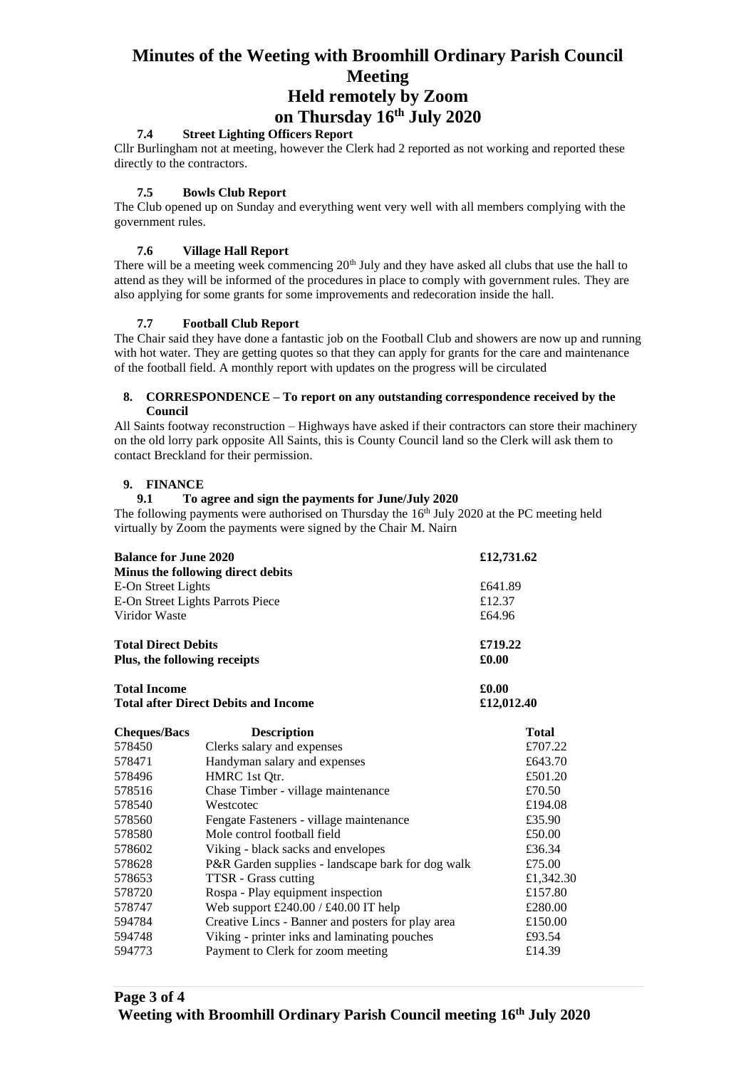## **7.4 Street Lighting Officers Report**

Cllr Burlingham not at meeting, however the Clerk had 2 reported as not working and reported these directly to the contractors.

### **7.5 Bowls Club Report**

The Club opened up on Sunday and everything went very well with all members complying with the government rules.

### **7.6 Village Hall Report**

There will be a meeting week commencing 20<sup>th</sup> July and they have asked all clubs that use the hall to attend as they will be informed of the procedures in place to comply with government rules. They are also applying for some grants for some improvements and redecoration inside the hall.

## **7.7 Football Club Report**

The Chair said they have done a fantastic job on the Football Club and showers are now up and running with hot water. They are getting quotes so that they can apply for grants for the care and maintenance of the football field. A monthly report with updates on the progress will be circulated

### **8. CORRESPONDENCE – To report on any outstanding correspondence received by the Council**

All Saints footway reconstruction – Highways have asked if their contractors can store their machinery on the old lorry park opposite All Saints, this is County Council land so the Clerk will ask them to contact Breckland for their permission.

## **9. FINANCE**

## **9.1 To agree and sign the payments for June/July 2020**

The following payments were authorised on Thursday the  $16<sup>th</sup>$  July 2020 at the PC meeting held virtually by Zoom the payments were signed by the Chair M. Nairn

| <b>Balance for June 2020</b><br>Minus the following direct debits<br>E-On Street Lights<br>E-On Street Lights Parrots Piece<br>Viridor Waste<br><b>Total Direct Debits</b><br>Plus, the following receipts |                                                   | £12,731.62<br>£641.89<br>£12.37<br>£64.96<br>£719.22<br>£0.00 |           |                     |                                             |            |              |
|------------------------------------------------------------------------------------------------------------------------------------------------------------------------------------------------------------|---------------------------------------------------|---------------------------------------------------------------|-----------|---------------------|---------------------------------------------|------------|--------------|
|                                                                                                                                                                                                            |                                                   |                                                               |           | <b>Total Income</b> |                                             | £0.00      |              |
|                                                                                                                                                                                                            |                                                   |                                                               |           |                     | <b>Total after Direct Debits and Income</b> | £12,012.40 |              |
|                                                                                                                                                                                                            |                                                   |                                                               |           | <b>Cheques/Bacs</b> | <b>Description</b>                          |            | <b>Total</b> |
|                                                                                                                                                                                                            |                                                   |                                                               |           | 578450              | Clerks salary and expenses                  |            | £707.22      |
|                                                                                                                                                                                                            |                                                   |                                                               |           | 578471              | Handyman salary and expenses                |            | £643.70      |
| 578496                                                                                                                                                                                                     | HMRC 1st Qtr.                                     |                                                               | £501.20   |                     |                                             |            |              |
| 578516                                                                                                                                                                                                     | Chase Timber - village maintenance                |                                                               | £70.50    |                     |                                             |            |              |
| 578540                                                                                                                                                                                                     | Westcotec                                         |                                                               | £194.08   |                     |                                             |            |              |
| 578560                                                                                                                                                                                                     | Fengate Fasteners - village maintenance           |                                                               | £35.90    |                     |                                             |            |              |
| 578580                                                                                                                                                                                                     | Mole control football field                       |                                                               | £50.00    |                     |                                             |            |              |
| 578602                                                                                                                                                                                                     | Viking - black sacks and envelopes                |                                                               | £36.34    |                     |                                             |            |              |
| 578628                                                                                                                                                                                                     | P&R Garden supplies - landscape bark for dog walk |                                                               | £75.00    |                     |                                             |            |              |
| 578653                                                                                                                                                                                                     | TTSR - Grass cutting                              |                                                               | £1,342.30 |                     |                                             |            |              |
| 578720                                                                                                                                                                                                     | Rospa - Play equipment inspection                 |                                                               | £157.80   |                     |                                             |            |              |
| 578747                                                                                                                                                                                                     | Web support £240.00 / £40.00 IT help              |                                                               | £280.00   |                     |                                             |            |              |
| 594784                                                                                                                                                                                                     | Creative Lincs - Banner and posters for play area |                                                               | £150.00   |                     |                                             |            |              |
| 594748                                                                                                                                                                                                     | Viking - printer inks and laminating pouches      |                                                               | £93.54    |                     |                                             |            |              |
| 594773                                                                                                                                                                                                     | Payment to Clerk for zoom meeting                 |                                                               | £14.39    |                     |                                             |            |              |